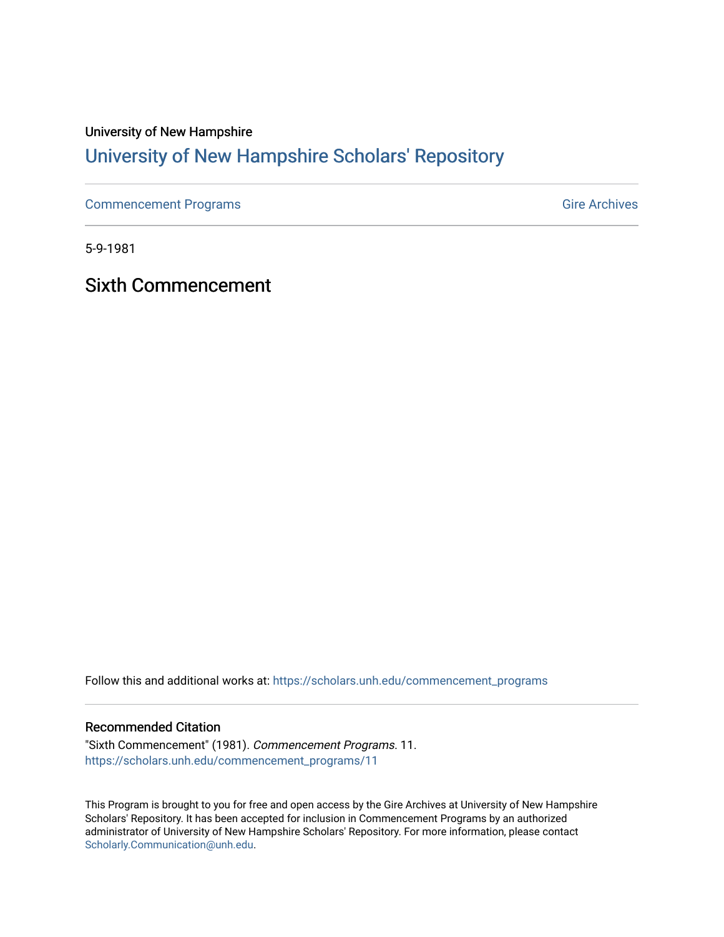### University of New Hampshire [University of New Hampshire Scholars' Repository](https://scholars.unh.edu/)

[Commencement Programs](https://scholars.unh.edu/commencement_programs) Gire Archives

5-9-1981

Sixth Commencement

Follow this and additional works at: [https://scholars.unh.edu/commencement\\_programs](https://scholars.unh.edu/commencement_programs?utm_source=scholars.unh.edu%2Fcommencement_programs%2F11&utm_medium=PDF&utm_campaign=PDFCoverPages) 

#### Recommended Citation

"Sixth Commencement" (1981). Commencement Programs. 11. [https://scholars.unh.edu/commencement\\_programs/11](https://scholars.unh.edu/commencement_programs/11?utm_source=scholars.unh.edu%2Fcommencement_programs%2F11&utm_medium=PDF&utm_campaign=PDFCoverPages)

This Program is brought to you for free and open access by the Gire Archives at University of New Hampshire Scholars' Repository. It has been accepted for inclusion in Commencement Programs by an authorized administrator of University of New Hampshire Scholars' Repository. For more information, please contact [Scholarly.Communication@unh.edu](mailto:Scholarly.Communication@unh.edu).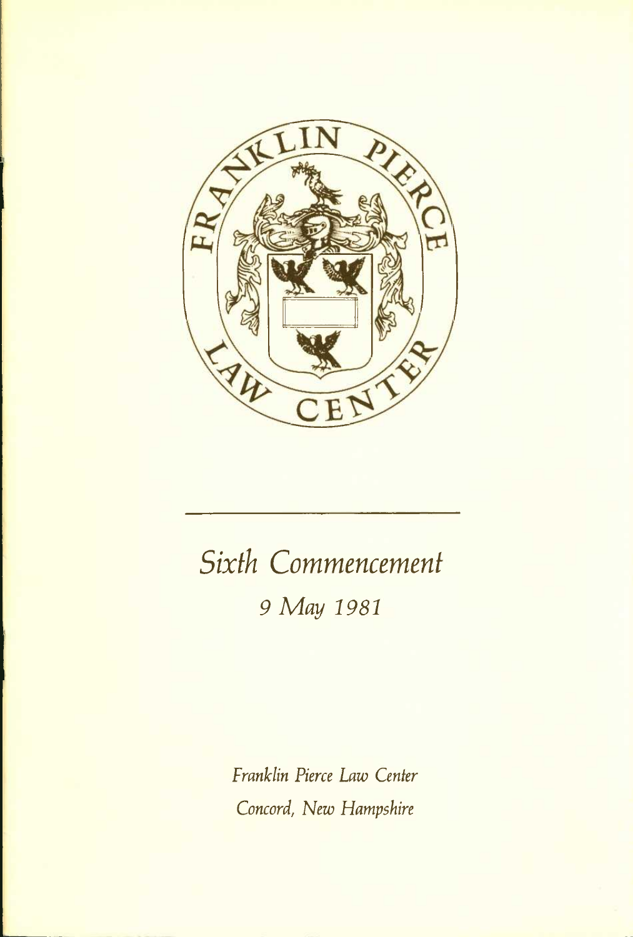

# *Sixth Commencement 9 May 1981*

*Franklin Pierce Law Center Concord, New Hampshire*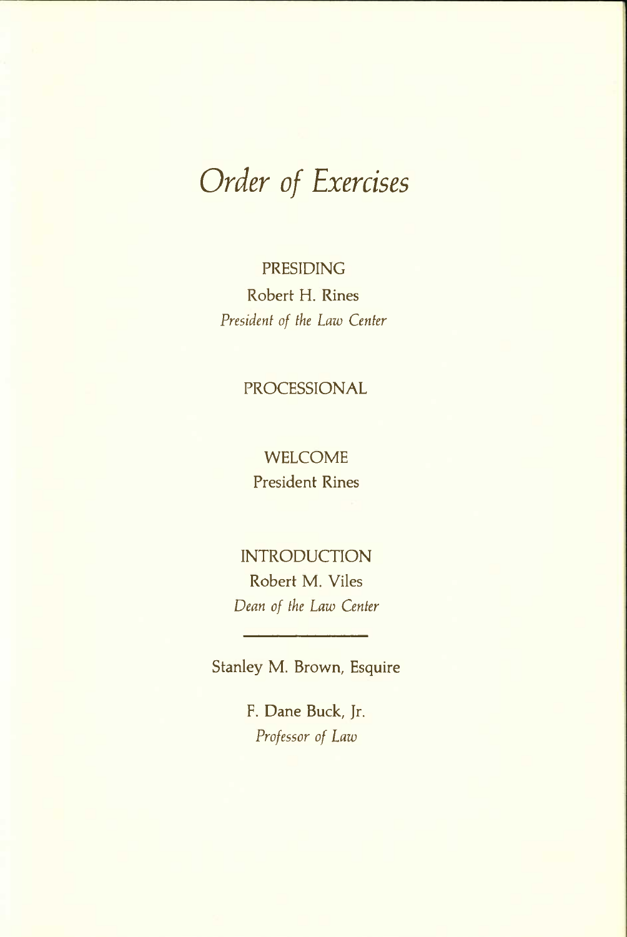# *Order of Exercises*

PRESIDING Robert H. Rines *President of the Law Center* 

#### PROCESSIONAL

#### WELCOME President Rines

### INTRODUCTION Robert M. Viles *Dean of the Law Center*

Stanley M. Brown, Esquire

F. Dane Buck, Jr. *Professor of Law*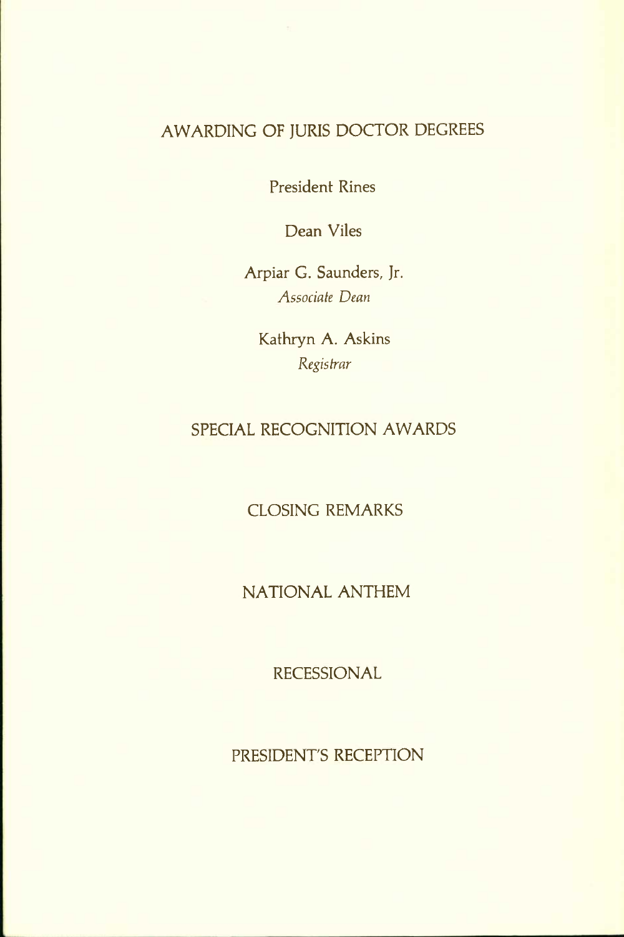#### AWARDING OF JURIS DOCTOR DEGREES

President Rines

Dean Viles

Arpiar G. Saunders, Jr. *Associate Dean* 

Kathryn A. Askins *Registrar* 

#### SPECIAL RECOGNITION AWARDS

CLOSING REMARKS

NATIONAL ANTHEM

RECESSIONAL

PRESIDENT'S RECEPTION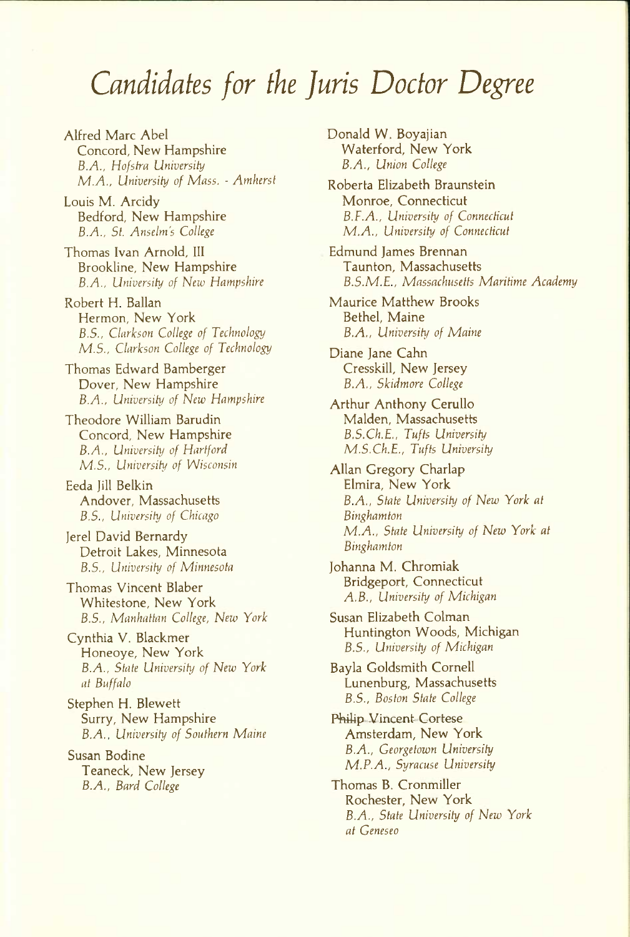### *Candidates for the ]uris Doctor Degree*

Alfred Marc Abel Concord, New Hampshire *B.A., Hofstra University M.A., University of Mass. - Amherst* 

Louis M. Arcidy Bedford, New Hampshire *B.A., St. Anselm's College* 

Thomas Ivan Arnold, III Brookline, New Hampshire *B.A., University of New Hampshire* 

Robert H. Ballan Hermon, New York *B.5., Clarkson College of Technology M.S., Clarkson College of Technology* 

Thomas Edward Bamberger Dover, New Hampshire *B.A., University of New Hampshire* 

Theodore William Barudin Concord, New Hampshire *B.A., University of Hartford M.S., University of Wisconsin* 

Eeda Jill Belkin Andover, Massachusetts *B.S., University of Chicago* 

Jerel David Bernardy Detroit Lakes, Minnesota *B.S., University of Minnesota* 

Thomas Vincent Blaber Whitestone, New York *B.5., Manhattan College, New York* 

Cynthia V. Blackmer Honeoye, New York *B.A., State University of New York at Buffalo* 

Stephen H. Blewett Surry, New Hampshire *B.A.. University of Southern Maine* 

Susan Bodine Teaneck, New Jersey *B.A., Bard College* 

Donald W. Boyajian Waterford, New York *B.A., Union College* 

Roberta Elizabeth Braunstein Monroe, Connecticut *B.F.A., University of Connecticut M.A., University of Connecticut* 

Edmund James Brennan Taunton, Massachusetts *B.S.M.E., Massachusetts Maritime Academy* 

Maurice Matthew Brooks Bethel, Maine *B.A., University of Maine* 

Diane Jane Cahn Cresskill, New Jersey *B.A., Skidmore College* 

Arthur Anthony Cerullo Maiden, Massachusetts *B.S.Ch.E., Tufts University M.S.Ch.E., Tufts University* 

Allan Gregory Charlap Elmira, New York *B.A., State University of New York at Binghamton M.A., State University of New York at Binghamton* 

Johanna M. Chromiak Bridgeport, Connecticut *A.B., University of Michigan* 

Susan Elizabeth Colman Huntington Woods, Michigan *B.S., University of Michigan* 

Bayla Goldsmith Cornell Lunenburg, Massachusetts *B.S., Boston State College* 

Philip Vincent Cortese Amsterdam, New York *B.A., Georgetown University M.P.A., Syracuse University* 

Thomas B. Cronmiller Rochester, New York *B.A., State University of New York at Geneseo*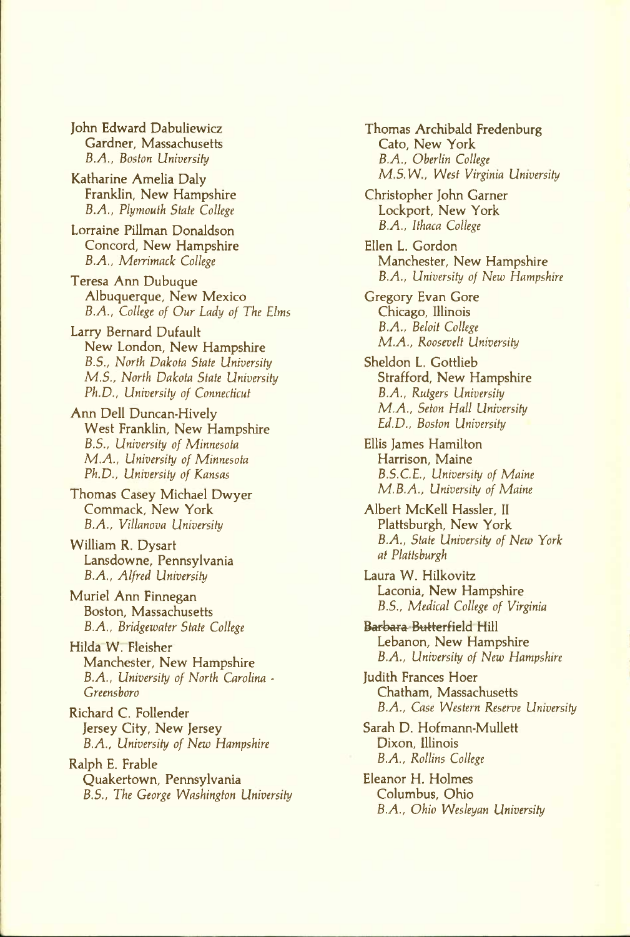John Edward Dabuliewicz Gardner, Massachusetts *B.A., Boston University* 

Katharine Amelia Daly Franklin, New Hampshire *B.A., Plymouth Stale College* 

Lorraine Pillman Donaldson Concord, New Hampshire *B.A., Merrimack College* 

Teresa Ann Dubuque Albuquerque, New Mexico *B.A., College of Our Lady of The Elms* 

Larry Bernard Dufault New London, New Hampshire *B.S., North Dakota State University M.S., North Dakota State University Ph.D., University of Connecticut* 

Ann Dell Duncan-Hively West Franklin, New Hampshire *B.S., University of Minnesota M.A., University of Minnesota Ph.D., University of Kansas* 

Thomas Casey Michael Dwyer Commack, New York *B.A., Villanova University* 

William R. Dysart Lansdowne, Pennsylvania *B.A., Alfred University* 

Muriel Ann Finnegan Boston, Massachusetts *B.A., Bridgewater State College* 

Hilda W. Fleisher Manchester, New Hampshire *B.A., University of North Carolina • Greensboro* 

Richard C. Follender Jersey City, New Jersey *B.A., University of New Hampshire* 

Ralph E. Frable Quakertown, Pennsylvania *B.S., The George Washington University*  Thomas Archibald Fredenburg Cato, New York *B.A., Oberlin College M.S.W., West Virginia University* 

Christopher John Garner Lockport, New York *B.A., Ithaca College* 

Ellen L. Gordon Manchester, New Hampshire *B.A., University of New Hampshire* 

Gregory Evan Gore Chicago, Illinois *B.A., Beloit College M.A., Roosevelt University* 

Sheldon L. Gottlieb Strafford, New Hampshire *B.A., Rutgers University M.A., Seton Hall University Ed.D., Boston University* 

Ellis James Hamilton Harrison, Maine *B.S.C.E., University of Maine M.B.A., University of Maine* 

Albert McKell Hassler, II Plattsburgh, New York *B.A., State University of New York at Plattsburgh* 

Laura W. Hilkovitz Laconia, New Hampshire *B.S., Medical College of Virginia* 

Barbara Butterfield Hill Lebanon, New Hampshire *B.A., University of New Hampshire* 

Judith Frances Hoer Chatham, Massachusetts *B.A., Case Western Reserve University* 

Sarah D. Hofmann-Mullett Dixon, Illinois *B.A., Rollins College* 

Eleanor H. Holmes Columbus, Ohio *B.A., Ohio Wesleyan University*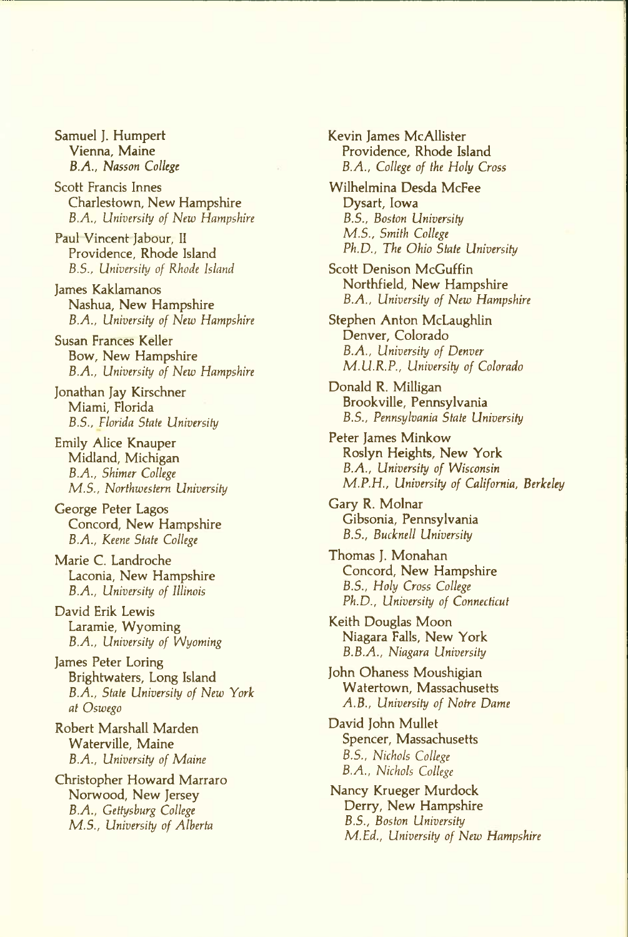Samuel ]. Humpert Vienna, Maine *B.A., Nasson College* 

Scott Francis Innes Charlestown, New Hampshire *B.A., University of New Hampshire* 

Paul Vincent Jabour, II Providence, Rhode Island *B.5., University of Rhode Island* 

James Kaklamanos Nashua, New Hampshire *B.A., University of New Hampshire* 

Susan Frances Keller Bow, New Hampshire *B.A., University of New Hampshire* 

Jonathan Jay Kirschner Miami, Florida *B.S., Florida State University* 

Emily Alice Knauper Midland, Michigan *B.A., Shimer College M.S., Northwestern University* 

George Peter Lagos Concord, New Hampshire *B.A., Keene State College* 

Marie C. Landroche Laconia, New Hampshire *B.A., University of Illinois* 

David Erik Lewis Laramie, Wyoming *B.A., University of Wyoming* 

James Peter Loring Brightwaters, Long Island *B.A., State University of New York at Oswego* 

Robert Marshall Marden Waterville, Maine *B.A., University of Maine* 

Christopher Howard Marraro Norwood, New Jersey *B.A., Gettysburg College M.S., University of Alberta* 

Kevin James McAllister Providence, Rhode Island *B.A., College of the Holy Cross* 

Wilhelmina Desda McFee Dysart, Iowa *B.S., Boston University M.S., Smith College Ph.D., The Ohio State University* 

Scott Denison McGuffin Northfield, New Hampshire *B.A., University of New Hampshire* 

Stephen Anton McLaughlin Denver, Colorado *B.A., University of Denver M.U.R.P., University of Colorado* 

Donald R. Milligan Brookville, Pennsylvania *B.S., Pennsylvania State University* 

Peter James Minkow Roslyn Heights, New York *B.A., University of Wisconsin M.P.H., University of California, Berkeley* 

Gary R. Molnar Gibsonia, Pennsylvania *B.S., Bucknell University* 

Thomas J. Monahan Concord, New Hampshire *B.S., Holy Cross College Ph.D., University of Connecticut* 

Keith Douglas Moon Niagara Falls, New York *B.B.A., Niagara University* 

John Ohaness Moushigian Watertown, Massachusetts *A.B., University of Notre Dame* 

David John Mullet Spencer, Massachusetts *B.S., Nichols College B.A., Nichols College* 

Nancy Krueger Murdock Derry, New Hampshire *B.S., Boston University M.Ed., University of New Hampshire*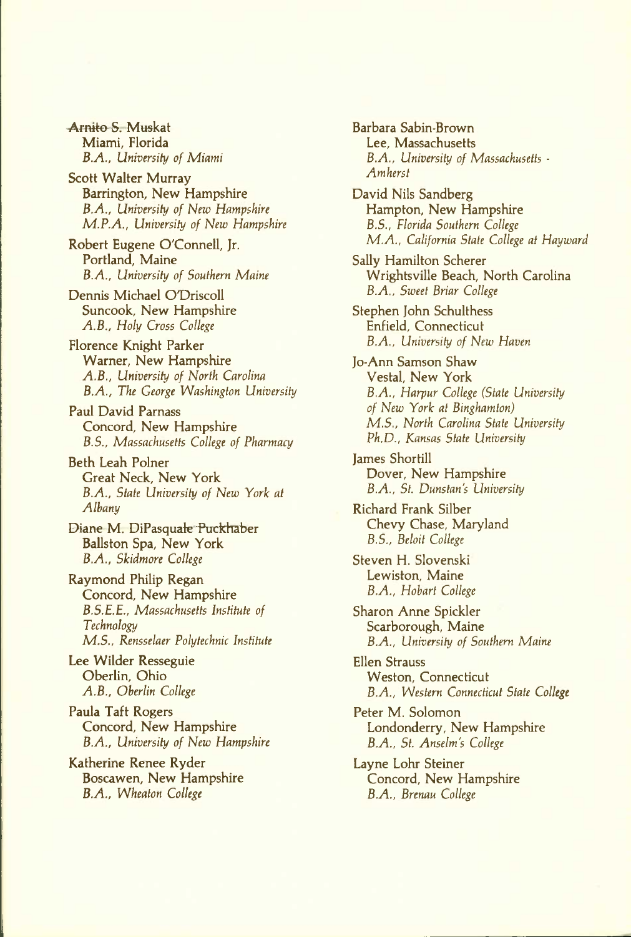Arnito S. Muskat Miami, Florida *B.A., University of Miami* 

Scott Walter Murray Barrington, New Hampshire *B.A., University of New Hampshire M.P.A., University of New Hampshire* 

Robert Eugene O'Connell, Jr. Portland, Maine *B.A., University of Southern Maine* 

Dennis Michael OTDriscoll Suncook, New Hampshire *A.B., Holy Cross College* 

Florence Knight Parker Warner, New Hampshire *A.B., University of North Carolina B.A., The George Washington University* 

Paul David Parnass Concord, New Hampshire *B.S., Massachusetts College of Pharmacy* 

Beth Leah Polner Great Neck, New York *B.A., State University of New York at Albany* 

Diane M. DiPasquale Puckhaber Ballston Spa, New York *B.A., Skidmore College* 

Raymond Philip Regan Concord, New Hampshire *B.S.E.E., Massachusetts Institute of Technology M.S., Rensselaer Polytechnic Institute* 

Lee Wilder Resseguie Oberlin, Ohio *A.B., Oberlin College* 

Paula Taft Rogers Concord, New Hampshire *B.A., University of New Hampshire* 

Katherine Renee Ryder Boscawen, New Hampshire *B.A., Wheaton College* 

Barbara Sabin-Brown Lee, Massachusetts *B.A., University of Massachusetts - Amherst* 

David Nils Sandberg Hampton, New Hampshire *B.S., Florida Southern College M.A., California State College at Hayward* 

Sally Hamilton Scherer Wrightsville Beach, North Carolina *B.A., Sweet Briar College* 

Stephen John Schulthess Enfield, Connecticut *B.A., University of New Haven* 

Jo-Ann Samson Shaw Vestal, New York *B.A., Harpur College (State University of New York at Binghamton) M.S., North Carolina State University Ph.D., Kansas State University* 

James Shortill Dover, New Hampshire *B.A., St. Dunstan's University* 

Richard Frank Silber Chevy Chase, Maryland *B.S., Beloit College* 

Steven H. Slovenski Lewiston, Maine *B.A., Hobart College* 

Sharon Anne Spickler Scarborough, Maine *B.A., University of Southern Maine* 

Ellen Strauss Weston, Connecticut *B.A., Western Connecticut State College* 

Peter M. Solomon Londonderry, New Hampshire *B.A., St. Anselm's College* 

Layne Lohr Steiner Concord, New Hampshire *B.A., Brenau College*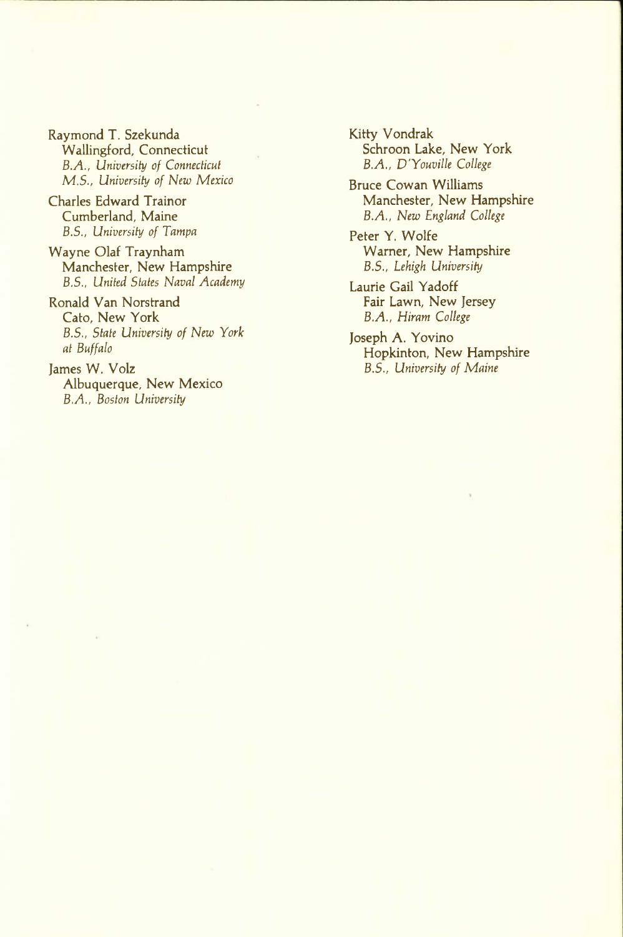Raymond T. Szekunda Wallingford, Connecticut *B.A., University of Connecticut M.S., University of New Mexico* 

Charles Edward Trainor Cumberland, Maine *B.S., University of Tampa* 

Wayne Olaf Traynham Manchester, New Hampshire *B.S., United States Naval Academy* 

Ronald Van Norstrand Cato, New York *B.S., State University of New York at Buffalo* 

James W. Volz Albuquerque, New Mexico *B.A., Boston University* 

Kitty Vondrak Schroon Lake, New York *B.A., D'Youville College* 

Bruce Cowan Williams Manchester, New Hampshire *B.A., New England College* 

Peter Y. Wolfe Warner, New Hampshire *B.S., Lehigh University* 

Laurie Gail Yadoff Fair Lawn, New Jersey *B.A., Hiram College* 

Joseph A. Yovino Hopkinton, New Hampshire *B.S., University of Maine*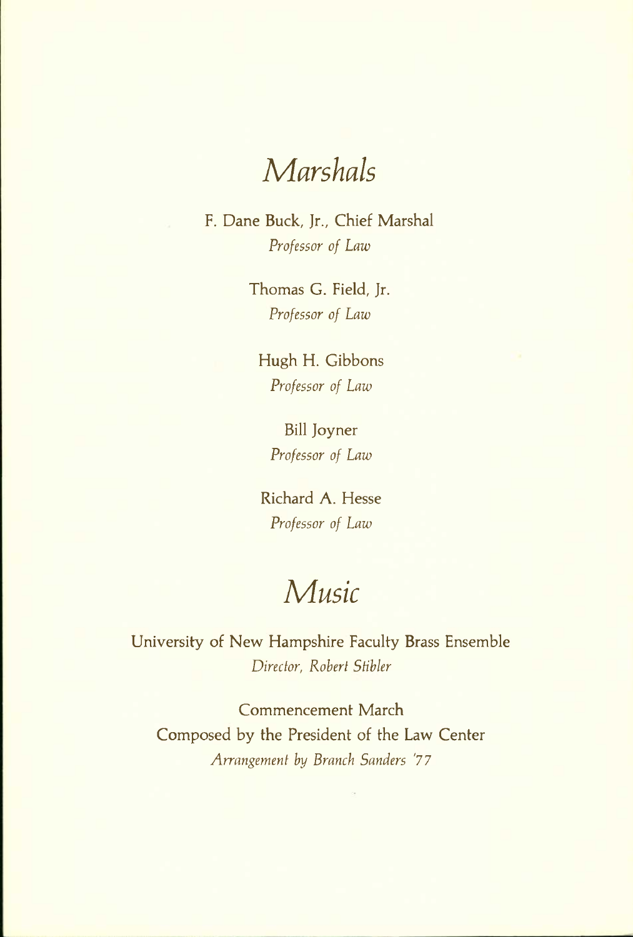## *Marshals*

F. Dane Buck, Jr., Chief Marshal *Professor of Law* 

> Thomas G. Field, Jr. *Professor of Law*

Hugh H. Gibbons *Professor of Law* 

Bill Joyner *Professor of Law* 

Richard A. Hesse *Professor of Law* 

## *Music*

University of New Hampshire Faculty Brass Ensemble *Director, Robert Stibler* 

Commencement March Composed by the President of the Law Center *Arrangement by Branch Sanders '77*